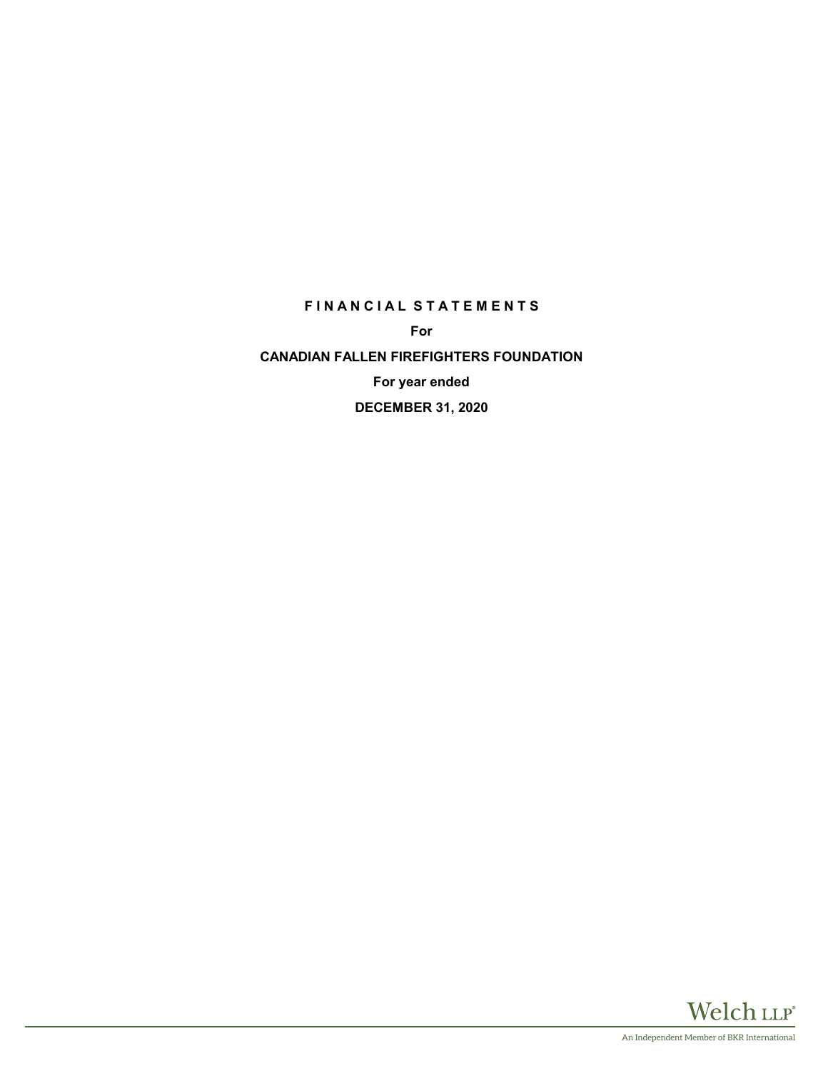# **F I N A N C I A L S T A T E M E N T S**

**For**

**CANADIAN FALLEN FIREFIGHTERS FOUNDATION For year ended DECEMBER 31, 2020**

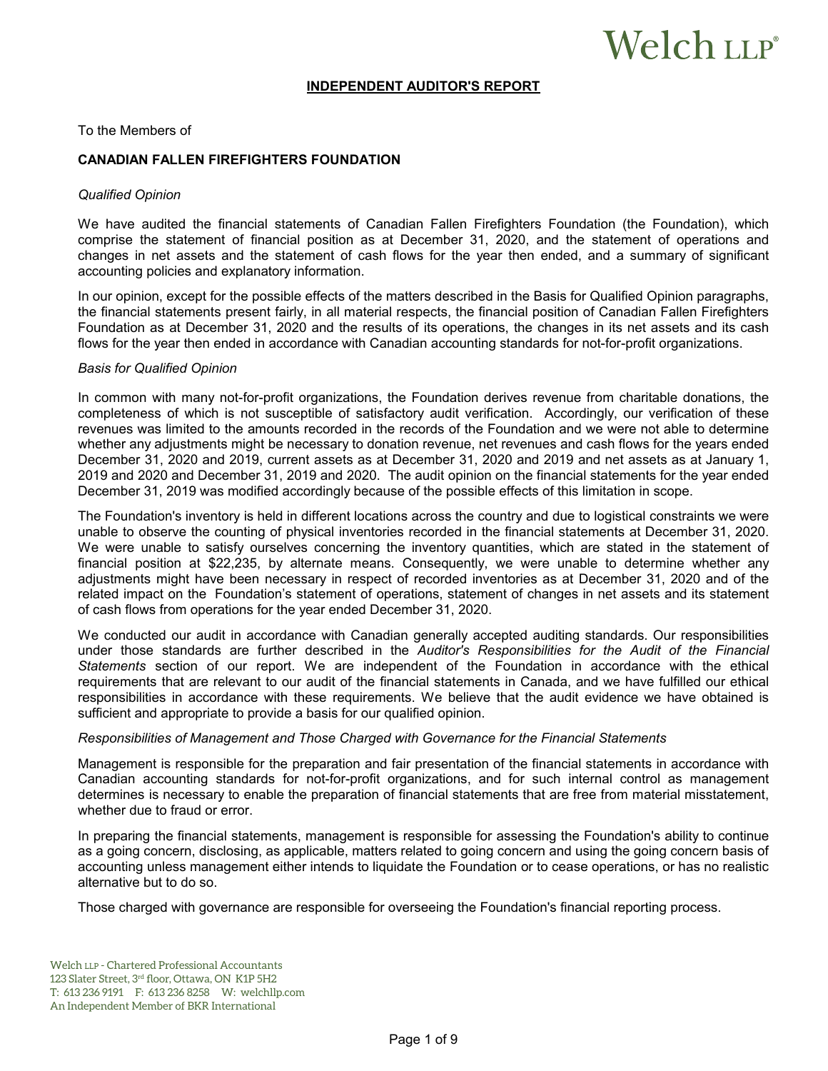# Welch LLP®

#### **INDEPENDENT AUDITOR'S REPORT**

To the Members of

#### **CANADIAN FALLEN FIREFIGHTERS FOUNDATION**

#### *Qualified Opinion*

We have audited the financial statements of Canadian Fallen Firefighters Foundation (the Foundation), which comprise the statement of financial position as at December 31, 2020, and the statement of operations and changes in net assets and the statement of cash flows for the year then ended, and a summary of significant accounting policies and explanatory information.

In our opinion, except for the possible effects of the matters described in the Basis for Qualified Opinion paragraphs, the financial statements present fairly, in all material respects, the financial position of Canadian Fallen Firefighters Foundation as at December 31, 2020 and the results of its operations, the changes in its net assets and its cash flows for the year then ended in accordance with Canadian accounting standards for not-for-profit organizations.

#### *Basis for Qualified Opinion*

In common with many not-for-profit organizations, the Foundation derives revenue from charitable donations, the completeness of which is not susceptible of satisfactory audit verification. Accordingly, our verification of these revenues was limited to the amounts recorded in the records of the Foundation and we were not able to determine whether any adjustments might be necessary to donation revenue, net revenues and cash flows for the years ended December 31, 2020 and 2019, current assets as at December 31, 2020 and 2019 and net assets as at January 1, 2019 and 2020 and December 31, 2019 and 2020. The audit opinion on the financial statements for the year ended December 31, 2019 was modified accordingly because of the possible effects of this limitation in scope.

The Foundation's inventory is held in different locations across the country and due to logistical constraints we were unable to observe the counting of physical inventories recorded in the financial statements at December 31, 2020. We were unable to satisfy ourselves concerning the inventory quantities, which are stated in the statement of financial position at \$22,235, by alternate means. Consequently, we were unable to determine whether any adjustments might have been necessary in respect of recorded inventories as at December 31, 2020 and of the related impact on the Foundation's statement of operations, statement of changes in net assets and its statement of cash flows from operations for the year ended December 31, 2020.

We conducted our audit in accordance with Canadian generally accepted auditing standards. Our responsibilities under those standards are further described in the *Auditor's Responsibilities for the Audit of the Financial Statements* section of our report. We are independent of the Foundation in accordance with the ethical requirements that are relevant to our audit of the financial statements in Canada, and we have fulfilled our ethical responsibilities in accordance with these requirements. We believe that the audit evidence we have obtained is sufficient and appropriate to provide a basis for our qualified opinion.

#### *Responsibilities of Management and Those Charged with Governance for the Financial Statements*

Management is responsible for the preparation and fair presentation of the financial statements in accordance with Canadian accounting standards for not-for-profit organizations, and for such internal control as management determines is necessary to enable the preparation of financial statements that are free from material misstatement, whether due to fraud or error.

In preparing the financial statements, management is responsible for assessing the Foundation's ability to continue as a going concern, disclosing, as applicable, matters related to going concern and using the going concern basis of accounting unless management either intends to liquidate the Foundation or to cease operations, or has no realistic alternative but to do so.

Those charged with governance are responsible for overseeing the Foundation's financial reporting process.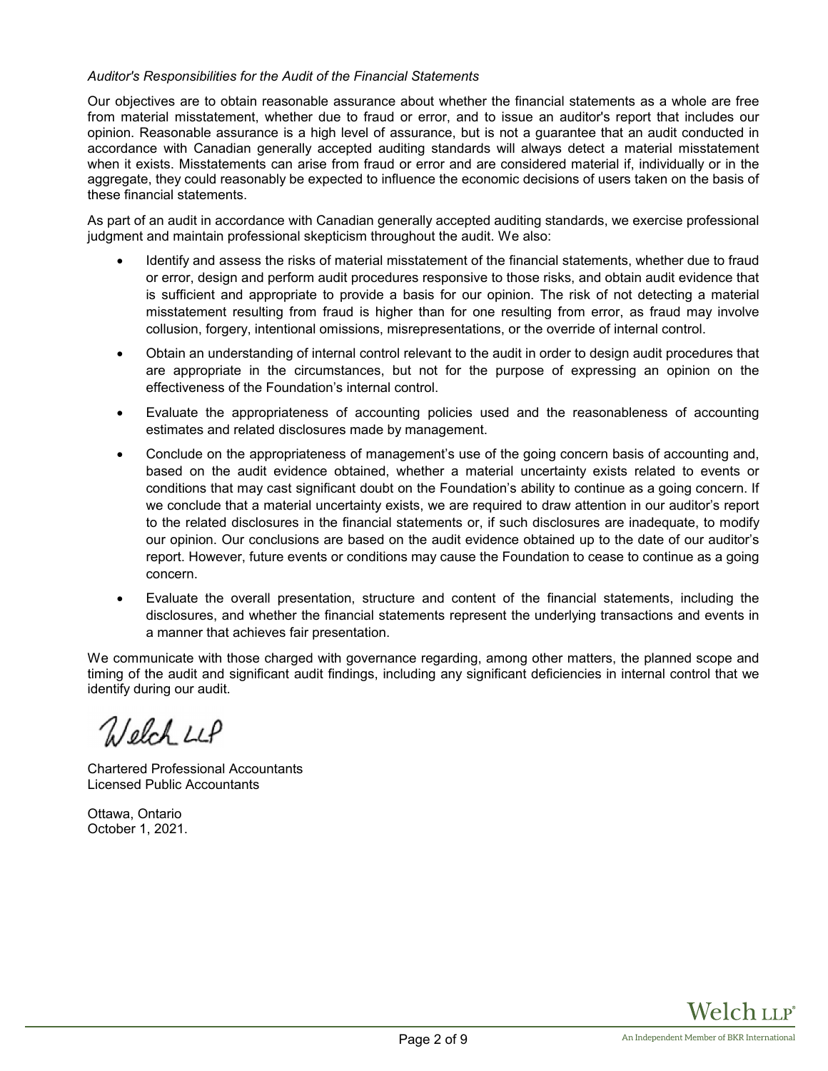# *Auditor's Responsibilities for the Audit of the Financial Statements*

Our objectives are to obtain reasonable assurance about whether the financial statements as a whole are free from material misstatement, whether due to fraud or error, and to issue an auditor's report that includes our opinion. Reasonable assurance is a high level of assurance, but is not a guarantee that an audit conducted in accordance with Canadian generally accepted auditing standards will always detect a material misstatement when it exists. Misstatements can arise from fraud or error and are considered material if, individually or in the aggregate, they could reasonably be expected to influence the economic decisions of users taken on the basis of these financial statements.

As part of an audit in accordance with Canadian generally accepted auditing standards, we exercise professional judgment and maintain professional skepticism throughout the audit. We also:

- Identify and assess the risks of material misstatement of the financial statements, whether due to fraud or error, design and perform audit procedures responsive to those risks, and obtain audit evidence that is sufficient and appropriate to provide a basis for our opinion. The risk of not detecting a material misstatement resulting from fraud is higher than for one resulting from error, as fraud may involve collusion, forgery, intentional omissions, misrepresentations, or the override of internal control.
- Obtain an understanding of internal control relevant to the audit in order to design audit procedures that are appropriate in the circumstances, but not for the purpose of expressing an opinion on the effectiveness of the Foundation's internal control.
- Evaluate the appropriateness of accounting policies used and the reasonableness of accounting estimates and related disclosures made by management.
- Conclude on the appropriateness of management's use of the going concern basis of accounting and, based on the audit evidence obtained, whether a material uncertainty exists related to events or conditions that may cast significant doubt on the Foundation's ability to continue as a going concern. If we conclude that a material uncertainty exists, we are required to draw attention in our auditor's report to the related disclosures in the financial statements or, if such disclosures are inadequate, to modify our opinion. Our conclusions are based on the audit evidence obtained up to the date of our auditor's report. However, future events or conditions may cause the Foundation to cease to continue as a going concern.
- Evaluate the overall presentation, structure and content of the financial statements, including the disclosures, and whether the financial statements represent the underlying transactions and events in a manner that achieves fair presentation.

We communicate with those charged with governance regarding, among other matters, the planned scope and timing of the audit and significant audit findings, including any significant deficiencies in internal control that we identify during our audit.

Welch LLP

Chartered Professional Accountants Licensed Public Accountants

Ottawa, Ontario October 1, 2021.

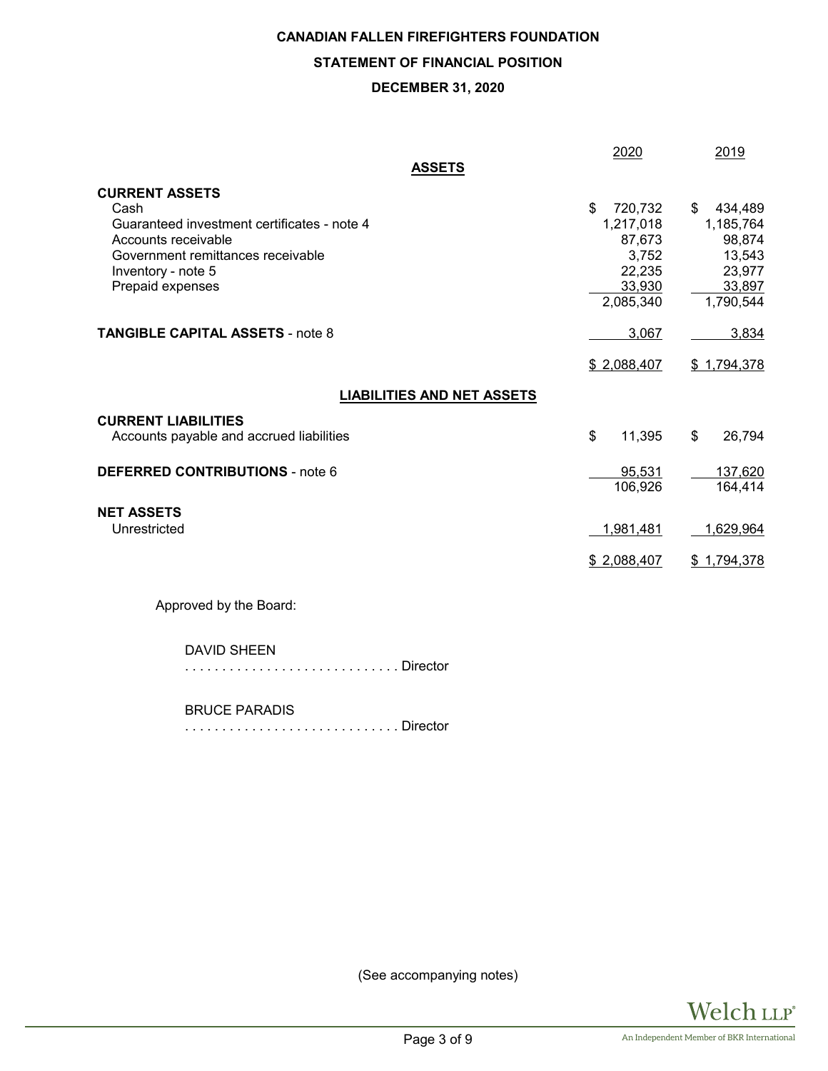# **CANADIAN FALLEN FIREFIGHTERS FOUNDATION STATEMENT OF FINANCIAL POSITION DECEMBER 31, 2020**

|                                             | 2020          | 2019          |
|---------------------------------------------|---------------|---------------|
| <b>ASSETS</b>                               |               |               |
| <b>CURRENT ASSETS</b>                       |               |               |
| Cash                                        | \$<br>720,732 | 434,489<br>\$ |
| Guaranteed investment certificates - note 4 | 1,217,018     | 1,185,764     |
| Accounts receivable                         | 87,673        | 98,874        |
| Government remittances receivable           | 3,752         | 13,543        |
| Inventory - note 5                          | 22,235        | 23,977        |
| Prepaid expenses                            | 33,930        | 33,897        |
|                                             | 2,085,340     | 1,790,544     |
| <b>TANGIBLE CAPITAL ASSETS - note 8</b>     | 3,067         | 3,834         |
|                                             | \$2,088,407   | \$1,794,378   |
| <b>LIABILITIES AND NET ASSETS</b>           |               |               |
| <b>CURRENT LIABILITIES</b>                  |               |               |
| Accounts payable and accrued liabilities    | \$<br>11,395  | \$<br>26,794  |
| <b>DEFERRED CONTRIBUTIONS - note 6</b>      | 95,531        | 137,620       |
|                                             | 106,926       | 164,414       |
| <b>NET ASSETS</b>                           |               |               |
| Unrestricted                                | 1,981,481     | 1,629,964     |
|                                             | \$2,088,407   | \$1,794,378   |
| Approved by the Board:                      |               |               |
| <b>DAVID SHEEN</b>                          |               |               |

. . . . . . . . . . . . . . . . . . . . . . . . . . . . . Director

BRUCE PARADIS

. . . . . . . . . . . . . . . . . . . . . . . . . . . . . Director

(See accompanying notes)

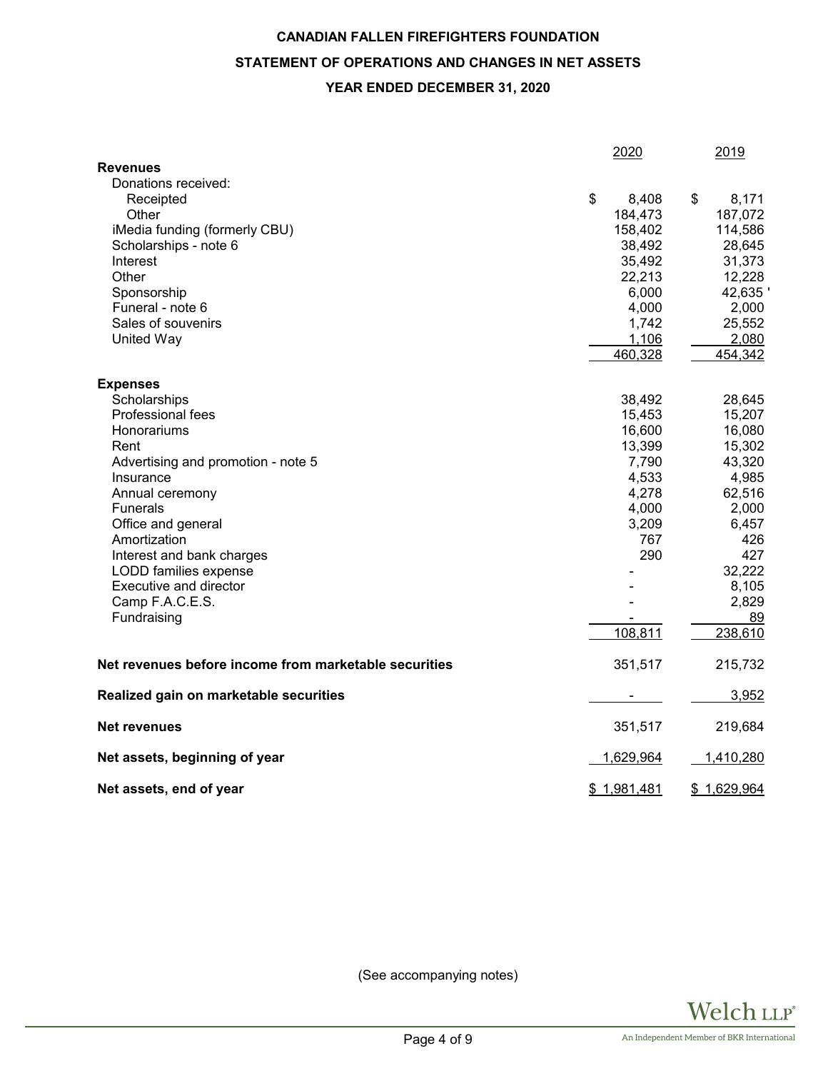# **CANADIAN FALLEN FIREFIGHTERS FOUNDATION STATEMENT OF OPERATIONS AND CHANGES IN NET ASSETS YEAR ENDED DECEMBER 31, 2020**

|                                                       | 2020        | 2019        |
|-------------------------------------------------------|-------------|-------------|
| <b>Revenues</b>                                       |             |             |
| Donations received:                                   |             |             |
| Receipted                                             | \$<br>8,408 | \$<br>8,171 |
| Other                                                 | 184,473     | 187,072     |
| iMedia funding (formerly CBU)                         | 158,402     | 114,586     |
| Scholarships - note 6                                 | 38,492      | 28,645      |
| Interest                                              | 35,492      | 31,373      |
| Other                                                 | 22,213      | 12,228      |
| Sponsorship                                           | 6,000       | 42,635      |
| Funeral - note 6                                      | 4,000       | 2,000       |
| Sales of souvenirs                                    | 1,742       | 25,552      |
| United Way                                            | 1,106       | 2,080       |
|                                                       | 460,328     | 454,342     |
| <b>Expenses</b>                                       |             |             |
| Scholarships                                          | 38,492      | 28,645      |
| Professional fees                                     | 15,453      | 15,207      |
| Honorariums                                           | 16,600      | 16,080      |
| Rent                                                  | 13,399      | 15,302      |
| Advertising and promotion - note 5                    | 7,790       | 43,320      |
| Insurance                                             | 4,533       | 4,985       |
| Annual ceremony                                       | 4,278       | 62,516      |
| <b>Funerals</b>                                       | 4,000       | 2,000       |
| Office and general                                    | 3,209       | 6,457       |
| Amortization                                          | 767         | 426         |
| Interest and bank charges                             | 290         | 427         |
| LODD families expense                                 |             | 32,222      |
| Executive and director                                |             | 8,105       |
| Camp F.A.C.E.S.                                       |             | 2,829       |
| Fundraising                                           |             | 89          |
|                                                       | 108,811     | 238,610     |
| Net revenues before income from marketable securities | 351,517     | 215,732     |
| Realized gain on marketable securities                |             | 3,952       |
| <b>Net revenues</b>                                   | 351,517     | 219,684     |
| Net assets, beginning of year                         | 1,629,964   | 1,410,280   |
| Net assets, end of year                               | \$1,981,481 | \$1,629,964 |

(See accompanying notes)

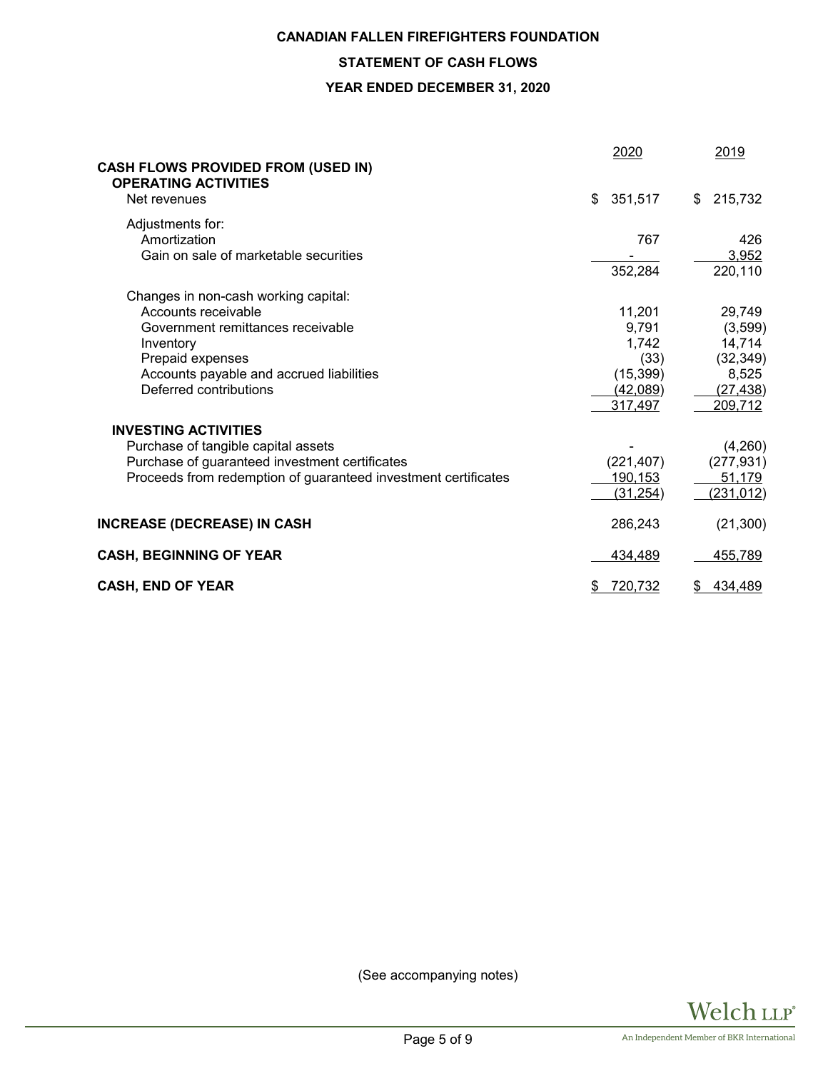# **CANADIAN FALLEN FIREFIGHTERS FOUNDATION**

# **STATEMENT OF CASH FLOWS**

# **YEAR ENDED DECEMBER 31, 2020**

| <b>CASH FLOWS PROVIDED FROM (USED IN)</b><br><b>OPERATING ACTIVITIES</b> | 2020           |    | 2019             |
|--------------------------------------------------------------------------|----------------|----|------------------|
| Net revenues                                                             | \$<br>351,517  | S. | 215,732          |
| Adjustments for:                                                         |                |    |                  |
| Amortization                                                             | 767            |    | 426              |
| Gain on sale of marketable securities                                    |                |    | 3,952            |
|                                                                          | 352,284        |    | 220,110          |
| Changes in non-cash working capital:                                     |                |    |                  |
| Accounts receivable                                                      | 11,201         |    | 29,749           |
| Government remittances receivable                                        | 9,791          |    | (3, 599)         |
| Inventory                                                                | 1,742          |    | 14,714           |
| Prepaid expenses                                                         | (33)           |    | (32, 349)        |
| Accounts payable and accrued liabilities                                 | (15, 399)      |    | 8,525            |
| Deferred contributions                                                   | (42,089)       |    | (27, 438)        |
|                                                                          | 317,497        |    | 209,712          |
| <b>INVESTING ACTIVITIES</b>                                              |                |    |                  |
| Purchase of tangible capital assets                                      |                |    | (4,260)          |
| Purchase of guaranteed investment certificates                           | (221, 407)     |    | (277, 931)       |
| Proceeds from redemption of guaranteed investment certificates           | <u>190,153</u> |    | 51,179           |
|                                                                          | (31, 254)      |    | <u>(231,012)</u> |
| <b>INCREASE (DECREASE) IN CASH</b>                                       | 286,243        |    | (21, 300)        |
| <b>CASH, BEGINNING OF YEAR</b>                                           | 434,489        |    | 455,789          |
| <b>CASH, END OF YEAR</b>                                                 | \$<br>720,732  | \$ | 434,489          |

(See accompanying notes)

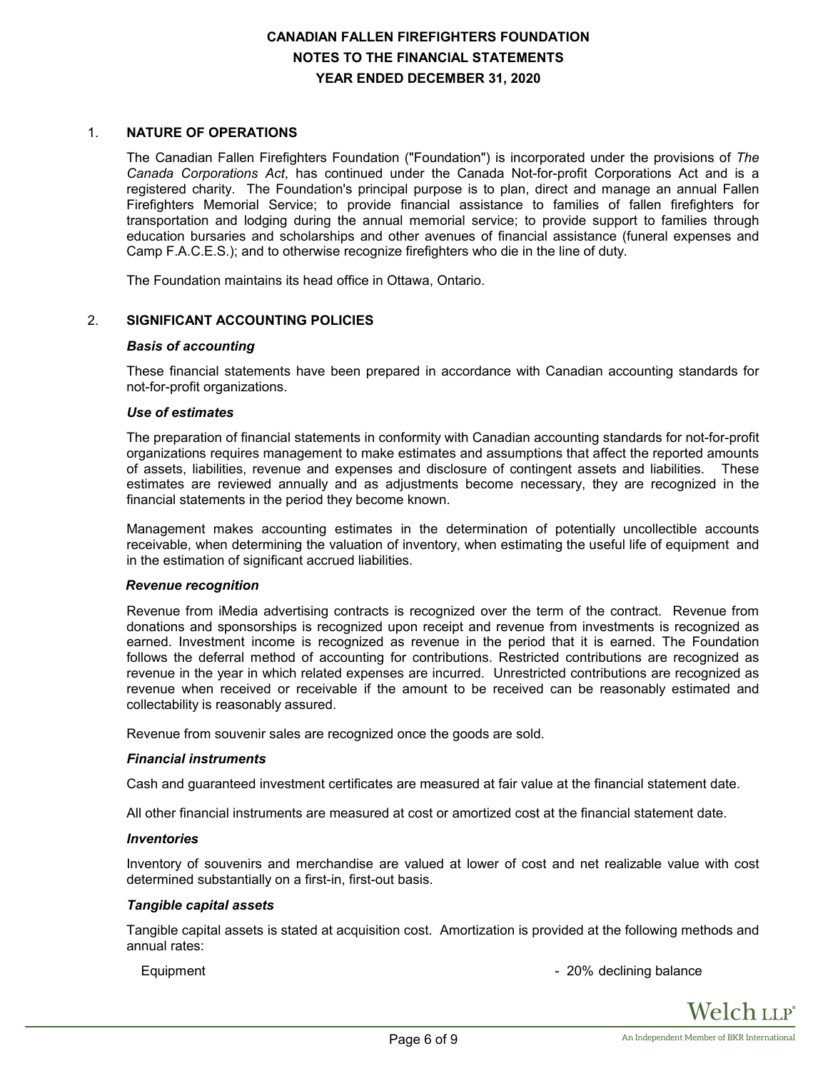# **CANADIAN FALLEN FIREFIGHTERS FOUNDATION NOTES TO THE FINANCIAL STATEMENTS YEAR ENDED DECEMBER 31, 2020**

# 1. **NATURE OF OPERATIONS**

The Canadian Fallen Firefighters Foundation ("Foundation") is incorporated under the provisions of *The Canada Corporations Act*, has continued under the Canada Not-for-profit Corporations Act and is a registered charity. The Foundation's principal purpose is to plan, direct and manage an annual Fallen Firefighters Memorial Service; to provide financial assistance to families of fallen firefighters for transportation and lodging during the annual memorial service; to provide support to families through education bursaries and scholarships and other avenues of financial assistance (funeral expenses and Camp F.A.C.E.S.); and to otherwise recognize firefighters who die in the line of duty.

The Foundation maintains its head office in Ottawa, Ontario.

#### 2. **SIGNIFICANT ACCOUNTING POLICIES**

#### *Basis of accounting*

These financial statements have been prepared in accordance with Canadian accounting standards for not-for-profit organizations.

#### *Use of estimates*

The preparation of financial statements in conformity with Canadian accounting standards for not-for-profit organizations requires management to make estimates and assumptions that affect the reported amounts of assets, liabilities, revenue and expenses and disclosure of contingent assets and liabilities. These estimates are reviewed annually and as adjustments become necessary, they are recognized in the financial statements in the period they become known.

Management makes accounting estimates in the determination of potentially uncollectible accounts receivable, when determining the valuation of inventory, when estimating the useful life of equipment and in the estimation of significant accrued liabilities.

#### *Revenue recognition*

Revenue from iMedia advertising contracts is recognized over the term of the contract. Revenue from donations and sponsorships is recognized upon receipt and revenue from investments is recognized as earned. Investment income is recognized as revenue in the period that it is earned. The Foundation follows the deferral method of accounting for contributions. Restricted contributions are recognized as revenue in the year in which related expenses are incurred. Unrestricted contributions are recognized as revenue when received or receivable if the amount to be received can be reasonably estimated and collectability is reasonably assured.

Revenue from souvenir sales are recognized once the goods are sold.

#### *Financial instruments*

Cash and guaranteed investment certificates are measured at fair value at the financial statement date.

All other financial instruments are measured at cost or amortized cost at the financial statement date.

#### *Inventories*

Inventory of souvenirs and merchandise are valued at lower of cost and net realizable value with cost determined substantially on a first-in, first-out basis.

#### *Tangible capital assets*

Tangible capital assets is stated at acquisition cost. Amortization is provided at the following methods and annual rates:

Equipment **Example 20%** declining balance

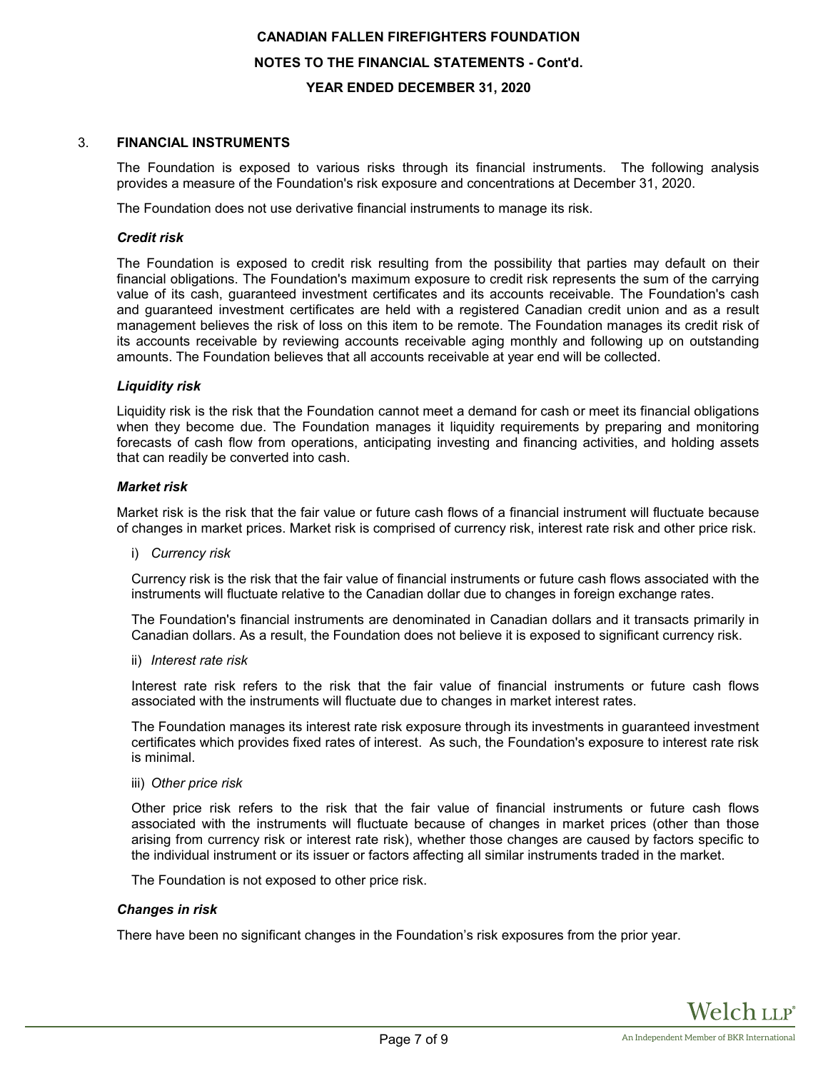# **CANADIAN FALLEN FIREFIGHTERS FOUNDATION NOTES TO THE FINANCIAL STATEMENTS - Cont'd. YEAR ENDED DECEMBER 31, 2020**

# 3. **FINANCIAL INSTRUMENTS**

The Foundation is exposed to various risks through its financial instruments. The following analysis provides a measure of the Foundation's risk exposure and concentrations at December 31, 2020.

The Foundation does not use derivative financial instruments to manage its risk.

## *Credit risk*

The Foundation is exposed to credit risk resulting from the possibility that parties may default on their financial obligations. The Foundation's maximum exposure to credit risk represents the sum of the carrying value of its cash, guaranteed investment certificates and its accounts receivable. The Foundation's cash and guaranteed investment certificates are held with a registered Canadian credit union and as a result management believes the risk of loss on this item to be remote. The Foundation manages its credit risk of its accounts receivable by reviewing accounts receivable aging monthly and following up on outstanding amounts. The Foundation believes that all accounts receivable at year end will be collected.

# *Liquidity risk*

Liquidity risk is the risk that the Foundation cannot meet a demand for cash or meet its financial obligations when they become due. The Foundation manages it liquidity requirements by preparing and monitoring forecasts of cash flow from operations, anticipating investing and financing activities, and holding assets that can readily be converted into cash.

#### *Market risk*

Market risk is the risk that the fair value or future cash flows of a financial instrument will fluctuate because of changes in market prices. Market risk is comprised of currency risk, interest rate risk and other price risk.

i) *Currency risk*

Currency risk is the risk that the fair value of financial instruments or future cash flows associated with the instruments will fluctuate relative to the Canadian dollar due to changes in foreign exchange rates.

The Foundation's financial instruments are denominated in Canadian dollars and it transacts primarily in Canadian dollars. As a result, the Foundation does not believe it is exposed to significant currency risk.

ii) *Interest rate risk*

Interest rate risk refers to the risk that the fair value of financial instruments or future cash flows associated with the instruments will fluctuate due to changes in market interest rates.

The Foundation manages its interest rate risk exposure through its investments in guaranteed investment certificates which provides fixed rates of interest. As such, the Foundation's exposure to interest rate risk is minimal.

iii) *Other price risk*

Other price risk refers to the risk that the fair value of financial instruments or future cash flows associated with the instruments will fluctuate because of changes in market prices (other than those arising from currency risk or interest rate risk), whether those changes are caused by factors specific to the individual instrument or its issuer or factors affecting all similar instruments traded in the market.

The Foundation is not exposed to other price risk.

#### *Changes in risk*

There have been no significant changes in the Foundation's risk exposures from the prior year.

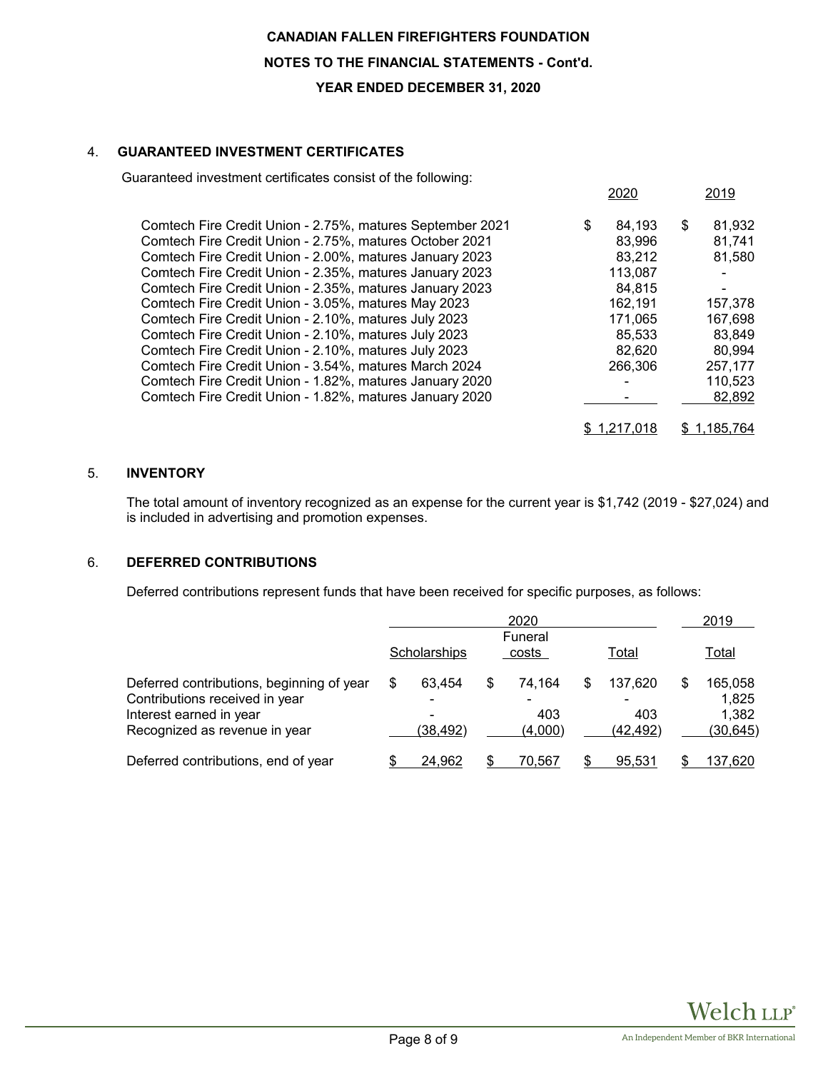# **CANADIAN FALLEN FIREFIGHTERS FOUNDATION NOTES TO THE FINANCIAL STATEMENTS - Cont'd. YEAR ENDED DECEMBER 31, 2020**

# 4. **GUARANTEED INVESTMENT CERTIFICATES**

Guaranteed investment certificates consist of the following:

|                                                           |   | 2020    |   | 2019    |
|-----------------------------------------------------------|---|---------|---|---------|
| Comtech Fire Credit Union - 2.75%, matures September 2021 | S | 84.193  | S | 81,932  |
| Comtech Fire Credit Union - 2.75%, matures October 2021   |   | 83,996  |   | 81,741  |
| Comtech Fire Credit Union - 2.00%, matures January 2023   |   | 83,212  |   | 81,580  |
| Comtech Fire Credit Union - 2.35%, matures January 2023   |   | 113,087 |   |         |
| Comtech Fire Credit Union - 2.35%, matures January 2023   |   | 84,815  |   |         |
| Comtech Fire Credit Union - 3.05%, matures May 2023       |   | 162,191 |   | 157,378 |
| Comtech Fire Credit Union - 2.10%, matures July 2023      |   | 171,065 |   | 167,698 |
| Comtech Fire Credit Union - 2.10%, matures July 2023      |   | 85,533  |   | 83,849  |
| Comtech Fire Credit Union - 2.10%, matures July 2023      |   | 82,620  |   | 80,994  |
| Comtech Fire Credit Union - 3.54%, matures March 2024     |   | 266,306 |   | 257,177 |
| Comtech Fire Credit Union - 1.82%, matures January 2020   |   |         |   | 110,523 |
| Comtech Fire Credit Union - 1.82%, matures January 2020   |   |         |   | 82,892  |
|                                                           |   |         |   | 185.764 |

# 5. **INVENTORY**

The total amount of inventory recognized as an expense for the current year is \$1,742 (2019 - \$27,024) and is included in advertising and promotion expenses.

# 6. **DEFERRED CONTRIBUTIONS**

Deferred contributions represent funds that have been received for specific purposes, as follows:

|                                                                             | 2020 |              |  |                  |  | 2019             |    |                    |  |
|-----------------------------------------------------------------------------|------|--------------|--|------------------|--|------------------|----|--------------------|--|
|                                                                             |      | Scholarships |  | Funeral<br>costs |  | Total            |    | <u>Total</u>       |  |
| Deferred contributions, beginning of year<br>Contributions received in year | \$   | 63.454<br>۰  |  | 74.164           |  | 137,620          | \$ | 165,058<br>1.825   |  |
| Interest earned in year<br>Recognized as revenue in year                    |      | (38, 492)    |  | 403<br>(4,000)   |  | 403<br>(42, 492) |    | 1,382<br>(30, 645) |  |
| Deferred contributions, end of year                                         |      | 24,962       |  | 70.567           |  | 95.531           |    | 137,620            |  |